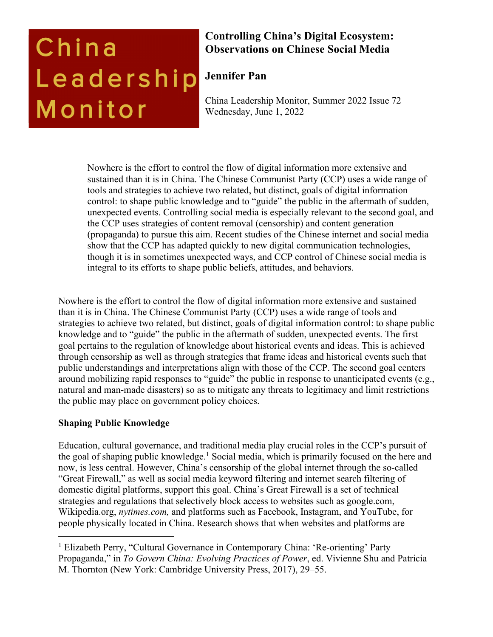# China Leadership Monitor

## **Controlling China's Digital Ecosystem: Observations on Chinese Social Media**

# **Jennifer Pan**

China Leadership Monitor, Summer 2022 Issue 72 Wednesday, June 1, 2022

Nowhere is the effort to control the flow of digital information more extensive and sustained than it is in China. The Chinese Communist Party (CCP) uses a wide range of tools and strategies to achieve two related, but distinct, goals of digital information control: to shape public knowledge and to "guide" the public in the aftermath of sudden, unexpected events. Controlling social media is especially relevant to the second goal, and the CCP uses strategies of content removal (censorship) and content generation (propaganda) to pursue this aim. Recent studies of the Chinese internet and social media show that the CCP has adapted quickly to new digital communication technologies, though it is in sometimes unexpected ways, and CCP control of Chinese social media is integral to its efforts to shape public beliefs, attitudes, and behaviors.

Nowhere is the effort to control the flow of digital information more extensive and sustained than it is in China. The Chinese Communist Party (CCP) uses a wide range of tools and strategies to achieve two related, but distinct, goals of digital information control: to shape public knowledge and to "guide" the public in the aftermath of sudden, unexpected events. The first goal pertains to the regulation of knowledge about historical events and ideas. This is achieved through censorship as well as through strategies that frame ideas and historical events such that public understandings and interpretations align with those of the CCP. The second goal centers around mobilizing rapid responses to "guide" the public in response to unanticipated events (e.g., natural and man-made disasters) so as to mitigate any threats to legitimacy and limit restrictions the public may place on government policy choices.

### **Shaping Public Knowledge**

Education, cultural governance, and traditional media play crucial roles in the CCP's pursuit of the goal of shaping public knowledge.<sup>1</sup> Social media, which is primarily focused on the here and now, is less central. However, China's censorship of the global internet through the so-called "Great Firewall," as well as social media keyword filtering and internet search filtering of domestic digital platforms, support this goal. China's Great Firewall is a set of technical strategies and regulations that selectively block access to websites such as google.com, Wikipedia.org, *nytimes.com,* and platforms such as Facebook, Instagram, and YouTube, for people physically located in China. Research shows that when websites and platforms are

<sup>&</sup>lt;sup>1</sup> Elizabeth Perry, "Cultural Governance in Contemporary China: 'Re-orienting' Party Propaganda," in *To Govern China: Evolving Practices of Power*, ed. Vivienne Shu and Patricia M. Thornton (New York: Cambridge University Press, 2017), 29–55.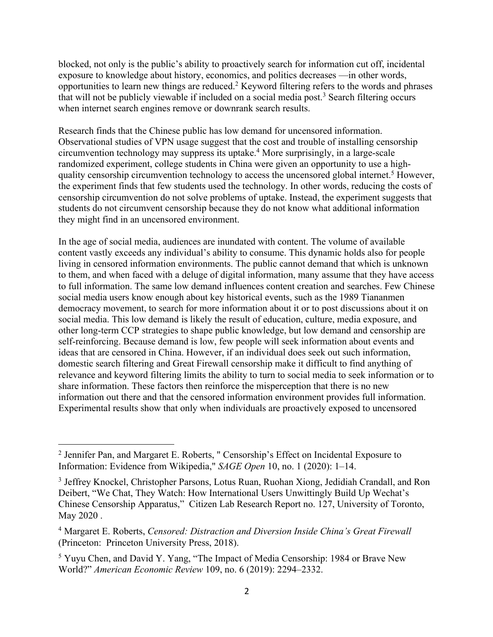blocked, not only is the public's ability to proactively search for information cut off, incidental exposure to knowledge about history, economics, and politics decreases —in other words, opportunities to learn new things are reduced. <sup>2</sup> Keyword filtering refers to the words and phrases that will not be publicly viewable if included on a social media post.<sup>3</sup> Search filtering occurs when internet search engines remove or downrank search results.

Research finds that the Chinese public has low demand for uncensored information. Observational studies of VPN usage suggest that the cost and trouble of installing censorship circumvention technology may suppress its uptake.4 More surprisingly, in a large-scale randomized experiment, college students in China were given an opportunity to use a highquality censorship circumvention technology to access the uncensored global internet.<sup>5</sup> However, the experiment finds that few students used the technology. In other words, reducing the costs of censorship circumvention do not solve problems of uptake. Instead, the experiment suggests that students do not circumvent censorship because they do not know what additional information they might find in an uncensored environment.

In the age of social media, audiences are inundated with content. The volume of available content vastly exceeds any individual's ability to consume. This dynamic holds also for people living in censored information environments. The public cannot demand that which is unknown to them, and when faced with a deluge of digital information, many assume that they have access to full information. The same low demand influences content creation and searches. Few Chinese social media users know enough about key historical events, such as the 1989 Tiananmen democracy movement, to search for more information about it or to post discussions about it on social media. This low demand is likely the result of education, culture, media exposure, and other long-term CCP strategies to shape public knowledge, but low demand and censorship are self-reinforcing. Because demand is low, few people will seek information about events and ideas that are censored in China. However, if an individual does seek out such information, domestic search filtering and Great Firewall censorship make it difficult to find anything of relevance and keyword filtering limits the ability to turn to social media to seek information or to share information. These factors then reinforce the misperception that there is no new information out there and that the censored information environment provides full information. Experimental results show that only when individuals are proactively exposed to uncensored

<sup>2</sup> Jennifer Pan, and Margaret E. Roberts, " Censorship's Effect on Incidental Exposure to Information: Evidence from Wikipedia," *SAGE Open* 10, no. 1 (2020): 1–14.

<sup>3</sup> Jeffrey Knockel, Christopher Parsons, Lotus Ruan, Ruohan Xiong, Jedidiah Crandall, and Ron Deibert, "We Chat, They Watch: How International Users Unwittingly Build Up Wechat's Chinese Censorship Apparatus," Citizen Lab Research Report no. 127, University of Toronto, May 2020 .

<sup>4</sup> Margaret E. Roberts, *Censored: Distraction and Diversion Inside China's Great Firewall* (Princeton: Princeton University Press, 2018).

<sup>5</sup> Yuyu Chen, and David Y. Yang, "The Impact of Media Censorship: 1984 or Brave New World?" *American Economic Review* 109, no. 6 (2019): 2294–2332.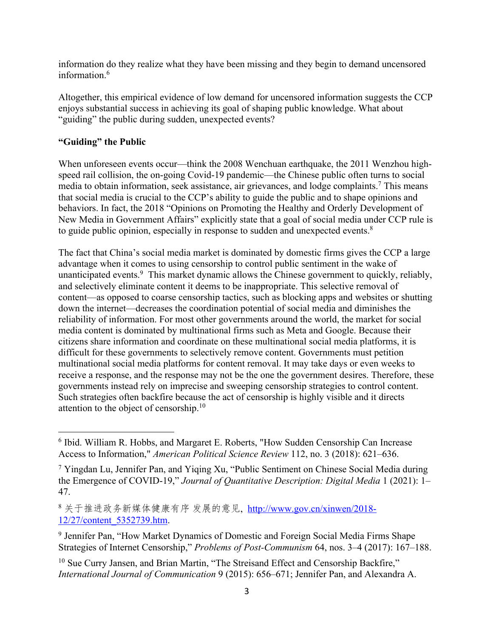information do they realize what they have been missing and they begin to demand uncensored information. 6

Altogether, this empirical evidence of low demand for uncensored information suggests the CCP enjoys substantial success in achieving its goal of shaping public knowledge. What about "guiding" the public during sudden, unexpected events?

#### **"Guiding" the Public**

When unforeseen events occur—think the 2008 Wenchuan earthquake, the 2011 Wenzhou highspeed rail collision, the on-going Covid-19 pandemic—the Chinese public often turns to social media to obtain information, seek assistance, air grievances, and lodge complaints.7 This means that social media is crucial to the CCP's ability to guide the public and to shape opinions and behaviors. In fact, the 2018 "Opinions on Promoting the Healthy and Orderly Development of New Media in Government Affairs" explicitly state that a goal of social media under CCP rule is to guide public opinion, especially in response to sudden and unexpected events.<sup>8</sup>

The fact that China's social media market is dominated by domestic firms gives the CCP a large advantage when it comes to using censorship to control public sentiment in the wake of unanticipated events.<sup>9</sup> This market dynamic allows the Chinese government to quickly, reliably, and selectively eliminate content it deems to be inappropriate. This selective removal of content—as opposed to coarse censorship tactics, such as blocking apps and websites or shutting down the internet—decreases the coordination potential of social media and diminishes the reliability of information. For most other governments around the world, the market for social media content is dominated by multinational firms such as Meta and Google. Because their citizens share information and coordinate on these multinational social media platforms, it is difficult for these governments to selectively remove content. Governments must petition multinational social media platforms for content removal. It may take days or even weeks to receive a response, and the response may not be the one the government desires. Therefore, these governments instead rely on imprecise and sweeping censorship strategies to control content. Such strategies often backfire because the act of censorship is highly visible and it directs attention to the object of censorship.<sup>10</sup>

8关于推进政务新媒体健康有序 发展的意见, http://www.gov.cn/xinwen/2018-12/27/content\_5352739.htm.

<sup>6</sup> Ibid. William R. Hobbs, and Margaret E. Roberts, "How Sudden Censorship Can Increase Access to Information," *American Political Science Review* 112, no. 3 (2018): 621–636.

<sup>7</sup> Yingdan Lu, Jennifer Pan, and Yiqing Xu, "Public Sentiment on Chinese Social Media during the Emergence of COVID-19," *Journal of Quantitative Description: Digital Media* 1 (2021): 1– 47.

<sup>9</sup> Jennifer Pan, "How Market Dynamics of Domestic and Foreign Social Media Firms Shape Strategies of Internet Censorship," *Problems of Post-Communism* 64, nos. 3–4 (2017): 167–188.

<sup>&</sup>lt;sup>10</sup> Sue Curry Jansen, and Brian Martin, "The Streisand Effect and Censorship Backfire," *International Journal of Communication* 9 (2015): 656–671; Jennifer Pan, and Alexandra A.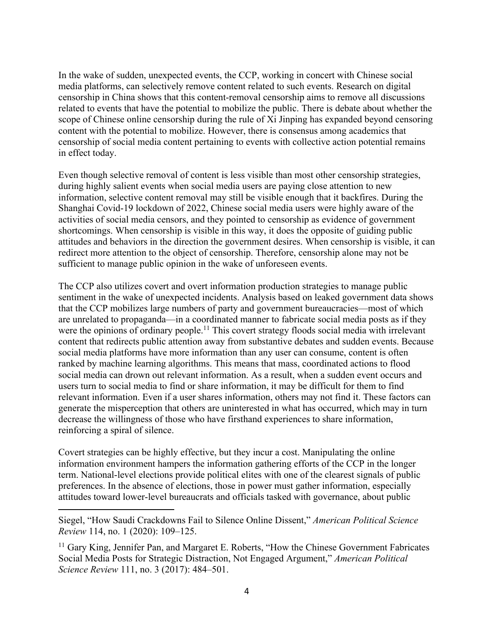In the wake of sudden, unexpected events, the CCP, working in concert with Chinese social media platforms, can selectively remove content related to such events. Research on digital censorship in China shows that this content-removal censorship aims to remove all discussions related to events that have the potential to mobilize the public. There is debate about whether the scope of Chinese online censorship during the rule of Xi Jinping has expanded beyond censoring content with the potential to mobilize. However, there is consensus among academics that censorship of social media content pertaining to events with collective action potential remains in effect today.

Even though selective removal of content is less visible than most other censorship strategies, during highly salient events when social media users are paying close attention to new information, selective content removal may still be visible enough that it backfires. During the Shanghai Covid-19 lockdown of 2022, Chinese social media users were highly aware of the activities of social media censors, and they pointed to censorship as evidence of government shortcomings. When censorship is visible in this way, it does the opposite of guiding public attitudes and behaviors in the direction the government desires. When censorship is visible, it can redirect more attention to the object of censorship. Therefore, censorship alone may not be sufficient to manage public opinion in the wake of unforeseen events.

The CCP also utilizes covert and overt information production strategies to manage public sentiment in the wake of unexpected incidents. Analysis based on leaked government data shows that the CCP mobilizes large numbers of party and government bureaucracies—most of which are unrelated to propaganda—in a coordinated manner to fabricate social media posts as if they were the opinions of ordinary people.<sup>11</sup> This covert strategy floods social media with irrelevant content that redirects public attention away from substantive debates and sudden events. Because social media platforms have more information than any user can consume, content is often ranked by machine learning algorithms. This means that mass, coordinated actions to flood social media can drown out relevant information. As a result, when a sudden event occurs and users turn to social media to find or share information, it may be difficult for them to find relevant information. Even if a user shares information, others may not find it. These factors can generate the misperception that others are uninterested in what has occurred, which may in turn decrease the willingness of those who have firsthand experiences to share information, reinforcing a spiral of silence.

Covert strategies can be highly effective, but they incur a cost. Manipulating the online information environment hampers the information gathering efforts of the CCP in the longer term. National-level elections provide political elites with one of the clearest signals of public preferences. In the absence of elections, those in power must gather information, especially attitudes toward lower-level bureaucrats and officials tasked with governance, about public

Siegel, "How Saudi Crackdowns Fail to Silence Online Dissent," *American Political Science Review* 114, no. 1 (2020): 109–125.

<sup>&</sup>lt;sup>11</sup> Gary King, Jennifer Pan, and Margaret E. Roberts, "How the Chinese Government Fabricates" Social Media Posts for Strategic Distraction, Not Engaged Argument," *American Political Science Review* 111, no. 3 (2017): 484–501.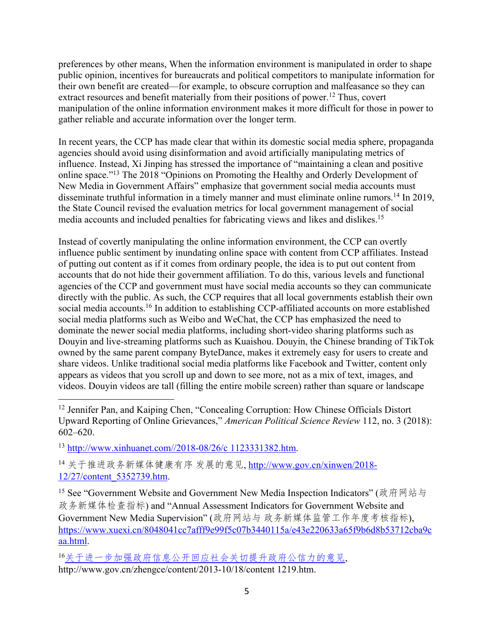preferences by other means, When the information environment is manipulated in order to shape public opinion, incentives for bureaucrats and political competitors to manipulate information for their own benefit are created—for example, to obscure corruption and malfeasance so they can extract resources and benefit materially from their positions of power.<sup>12</sup> Thus, covert manipulation of the online information environment makes it more difficult for those in power to gather reliable and accurate information over the longer term.

In recent years, the CCP has made clear that within its domestic social media sphere, propaganda agencies should avoid using disinformation and avoid artificially manipulating metrics of influence. Instead, Xi Jinping has stressed the importance of "maintaining a clean and positive online space."13 The 2018 "Opinions on Promoting the Healthy and Orderly Development of New Media in Government Affairs" emphasize that government social media accounts must disseminate truthful information in a timely manner and must eliminate online rumors.<sup>14</sup> In 2019, the State Council revised the evaluation metrics for local government management of social media accounts and included penalties for fabricating views and likes and dislikes. 15

Instead of covertly manipulating the online information environment, the CCP can overtly influence public sentiment by inundating online space with content from CCP affiliates. Instead of putting out content as if it comes from ordinary people, the idea is to put out content from accounts that do not hide their government affiliation. To do this, various levels and functional agencies of the CCP and government must have social media accounts so they can communicate directly with the public. As such, the CCP requires that all local governments establish their own social media accounts.<sup>16</sup> In addition to establishing CCP-affiliated accounts on more established social media platforms such as Weibo and WeChat, the CCP has emphasized the need to dominate the newer social media platforms, including short-video sharing platforms such as Douyin and live-streaming platforms such as Kuaishou. Douyin, the Chinese branding of TikTok owned by the same parent company ByteDance, makes it extremely easy for users to create and share videos. Unlike traditional social media platforms like Facebook and Twitter, content only appears as videos that you scroll up and down to see more, not as a mix of text, images, and videos. Douyin videos are tall (filling the entire mobile screen) rather than square or landscape

<sup>13</sup> http://www.xinhuanet.com//2018-08/26/c 1123331382.htm.

14 关于推进政务新媒体健康有序 发展的意见, http://www.gov.cn/xinwen/2018-12/27/content\_5352739.htm.

<sup>15</sup> See "Government Website and Government New Media Inspection Indicators" (政府网站与 政务新媒体检查指标) and "Annual Assessment Indicators for Government Website and Government New Media Supervision" (政府网站与政务新媒体监管工作年度考核指标), https://www.xuexi.cn/8048041cc7afff9e99f5c07b3440115a/e43e220633a65f9b6d8b53712cba9c aa.html.

16关于进一步加强政府信息公开回应社会关切提升政府公信力的意见,

http://www.gov.cn/zhengce/content/2013-10/18/content 1219.htm.

<sup>&</sup>lt;sup>12</sup> Jennifer Pan, and Kaiping Chen, "Concealing Corruption: How Chinese Officials Distort Upward Reporting of Online Grievances," *American Political Science Review* 112, no. 3 (2018): 602–620.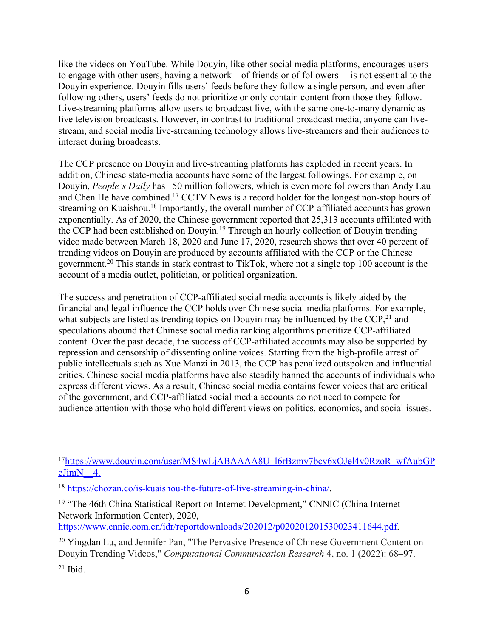like the videos on YouTube. While Douyin, like other social media platforms, encourages users to engage with other users, having a network—of friends or of followers —is not essential to the Douyin experience. Douyin fills users' feeds before they follow a single person, and even after following others, users' feeds do not prioritize or only contain content from those they follow. Live-streaming platforms allow users to broadcast live, with the same one-to-many dynamic as live television broadcasts. However, in contrast to traditional broadcast media, anyone can livestream, and social media live-streaming technology allows live-streamers and their audiences to interact during broadcasts.

The CCP presence on Douyin and live-streaming platforms has exploded in recent years. In addition, Chinese state-media accounts have some of the largest followings. For example, on Douyin, *People's Daily* has 150 million followers, which is even more followers than Andy Lau and Chen He have combined.<sup>17</sup> CCTV News is a record holder for the longest non-stop hours of streaming on Kuaishou.<sup>18</sup> Importantly, the overall number of CCP-affiliated accounts has grown exponentially. As of 2020, the Chinese government reported that 25,313 accounts affiliated with the CCP had been established on Douyin.<sup>19</sup> Through an hourly collection of Douyin trending video made between March 18, 2020 and June 17, 2020, research shows that over 40 percent of trending videos on Douyin are produced by accounts affiliated with the CCP or the Chinese government.20 This stands in stark contrast to TikTok, where not a single top 100 account is the account of a media outlet, politician, or political organization.

The success and penetration of CCP-affiliated social media accounts is likely aided by the financial and legal influence the CCP holds over Chinese social media platforms. For example, what subjects are listed as trending topics on Douyin may be influenced by the  $CCP<sub>1</sub><sup>21</sup>$  and speculations abound that Chinese social media ranking algorithms prioritize CCP-affiliated content. Over the past decade, the success of CCP-affiliated accounts may also be supported by repression and censorship of dissenting online voices. Starting from the high-profile arrest of public intellectuals such as Xue Manzi in 2013, the CCP has penalized outspoken and influential critics. Chinese social media platforms have also steadily banned the accounts of individuals who express different views. As a result, Chinese social media contains fewer voices that are critical of the government, and CCP-affiliated social media accounts do not need to compete for audience attention with those who hold different views on politics, economics, and social issues.

<sup>&</sup>lt;sup>17</sup>https://www.douyin.com/user/MS4wLjABAAAA8U\_l6rBzmy7bcy6xOJel4v0RzoR\_wfAubGP eJimN 4.

<sup>18</sup> https://chozan.co/is-kuaishou-the-future-of-live-streaming-in-china/.

<sup>&</sup>lt;sup>19</sup> "The 46th China Statistical Report on Internet Development," CNNIC (China Internet Network Information Center), 2020, https://www.cnnic.com.cn/idr/reportdownloads/202012/p020201201530023411644.pdf.

<sup>&</sup>lt;sup>20</sup> Yingdan Lu, and Jennifer Pan, "The Pervasive Presence of Chinese Government Content on Douyin Trending Videos," *Computational Communication Research* 4, no. 1 (2022): 68–97.

 $21$  Ibid.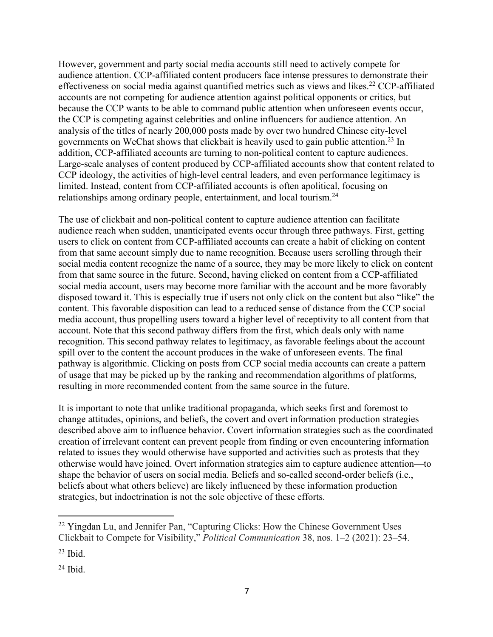However, government and party social media accounts still need to actively compete for audience attention. CCP-affiliated content producers face intense pressures to demonstrate their effectiveness on social media against quantified metrics such as views and likes.<sup>22</sup> CCP-affiliated accounts are not competing for audience attention against political opponents or critics, but because the CCP wants to be able to command public attention when unforeseen events occur, the CCP is competing against celebrities and online influencers for audience attention. An analysis of the titles of nearly 200,000 posts made by over two hundred Chinese city-level governments on WeChat shows that clickbait is heavily used to gain public attention.23 In addition, CCP-affiliated accounts are turning to non-political content to capture audiences. Large-scale analyses of content produced by CCP-affiliated accounts show that content related to CCP ideology, the activities of high-level central leaders, and even performance legitimacy is limited. Instead, content from CCP-affiliated accounts is often apolitical, focusing on relationships among ordinary people, entertainment, and local tourism.<sup>24</sup>

The use of clickbait and non-political content to capture audience attention can facilitate audience reach when sudden, unanticipated events occur through three pathways. First, getting users to click on content from CCP-affiliated accounts can create a habit of clicking on content from that same account simply due to name recognition. Because users scrolling through their social media content recognize the name of a source, they may be more likely to click on content from that same source in the future. Second, having clicked on content from a CCP-affiliated social media account, users may become more familiar with the account and be more favorably disposed toward it. This is especially true if users not only click on the content but also "like" the content. This favorable disposition can lead to a reduced sense of distance from the CCP social media account, thus propelling users toward a higher level of receptivity to all content from that account. Note that this second pathway differs from the first, which deals only with name recognition. This second pathway relates to legitimacy, as favorable feelings about the account spill over to the content the account produces in the wake of unforeseen events. The final pathway is algorithmic. Clicking on posts from CCP social media accounts can create a pattern of usage that may be picked up by the ranking and recommendation algorithms of platforms, resulting in more recommended content from the same source in the future.

It is important to note that unlike traditional propaganda, which seeks first and foremost to change attitudes, opinions, and beliefs, the covert and overt information production strategies described above aim to influence behavior. Covert information strategies such as the coordinated creation of irrelevant content can prevent people from finding or even encountering information related to issues they would otherwise have supported and activities such as protests that they otherwise would have joined. Overt information strategies aim to capture audience attention—to shape the behavior of users on social media. Beliefs and so-called second-order beliefs (i.e., beliefs about what others believe) are likely influenced by these information production strategies, but indoctrination is not the sole objective of these efforts.

<sup>&</sup>lt;sup>22</sup> Yingdan Lu, and Jennifer Pan, "Capturing Clicks: How the Chinese Government Uses Clickbait to Compete for Visibility," *Political Communication* 38, nos. 1–2 (2021): 23–54.

 $23$  Ibid.

<sup>24</sup> Ibid.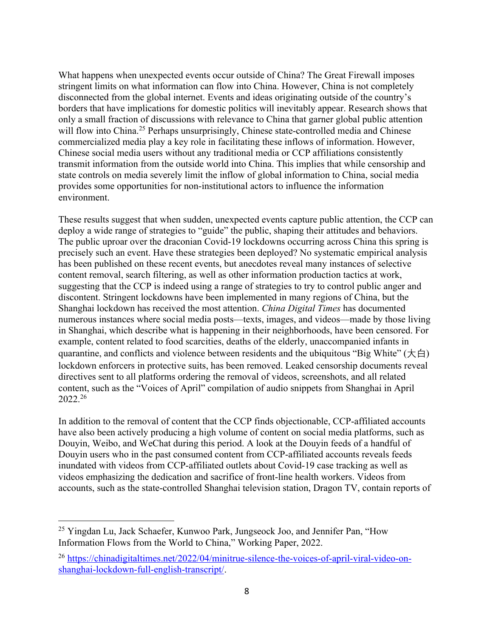What happens when unexpected events occur outside of China? The Great Firewall imposes stringent limits on what information can flow into China. However, China is not completely disconnected from the global internet. Events and ideas originating outside of the country's borders that have implications for domestic politics will inevitably appear. Research shows that only a small fraction of discussions with relevance to China that garner global public attention will flow into China.<sup>25</sup> Perhaps unsurprisingly, Chinese state-controlled media and Chinese commercialized media play a key role in facilitating these inflows of information. However, Chinese social media users without any traditional media or CCP affiliations consistently transmit information from the outside world into China. This implies that while censorship and state controls on media severely limit the inflow of global information to China, social media provides some opportunities for non-institutional actors to influence the information environment.

These results suggest that when sudden, unexpected events capture public attention, the CCP can deploy a wide range of strategies to "guide" the public, shaping their attitudes and behaviors. The public uproar over the draconian Covid-19 lockdowns occurring across China this spring is precisely such an event. Have these strategies been deployed? No systematic empirical analysis has been published on these recent events, but anecdotes reveal many instances of selective content removal, search filtering, as well as other information production tactics at work, suggesting that the CCP is indeed using a range of strategies to try to control public anger and discontent. Stringent lockdowns have been implemented in many regions of China, but the Shanghai lockdown has received the most attention. *China Digital Times* has documented numerous instances where social media posts—texts, images, and videos—made by those living in Shanghai, which describe what is happening in their neighborhoods, have been censored. For example, content related to food scarcities, deaths of the elderly, unaccompanied infants in quarantine, and conflicts and violence between residents and the ubiquitous "Big White"  $(\nmid \pm \text{f})$ lockdown enforcers in protective suits, has been removed. Leaked censorship documents reveal directives sent to all platforms ordering the removal of videos, screenshots, and all related content, such as the "Voices of April" compilation of audio snippets from Shanghai in April 2022. 26

In addition to the removal of content that the CCP finds objectionable, CCP-affiliated accounts have also been actively producing a high volume of content on social media platforms, such as Douyin, Weibo, and WeChat during this period. A look at the Douyin feeds of a handful of Douyin users who in the past consumed content from CCP-affiliated accounts reveals feeds inundated with videos from CCP-affiliated outlets about Covid-19 case tracking as well as videos emphasizing the dedication and sacrifice of front-line health workers. Videos from accounts, such as the state-controlled Shanghai television station, Dragon TV, contain reports of

<sup>&</sup>lt;sup>25</sup> Yingdan Lu, Jack Schaefer, Kunwoo Park, Jungseock Joo, and Jennifer Pan, "How Information Flows from the World to China," Working Paper, 2022.

<sup>26</sup> https://chinadigitaltimes.net/2022/04/minitrue-silence-the-voices-of-april-viral-video-onshanghai-lockdown-full-english-transcript/.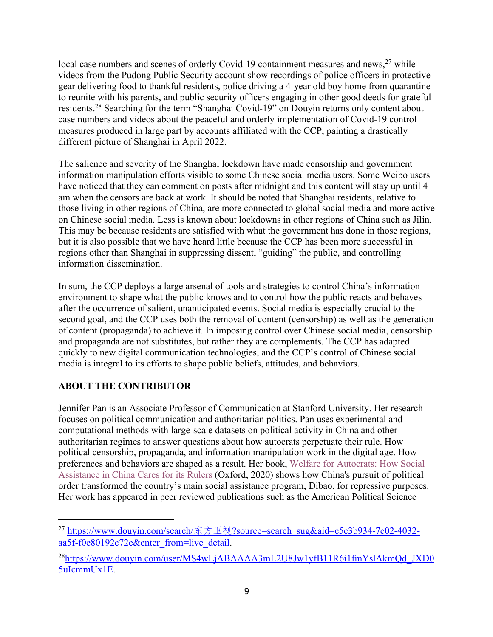local case numbers and scenes of orderly Covid-19 containment measures and news,<sup>27</sup> while videos from the Pudong Public Security account show recordings of police officers in protective gear delivering food to thankful residents, police driving a 4-year old boy home from quarantine to reunite with his parents, and public security officers engaging in other good deeds for grateful residents.28 Searching for the term "Shanghai Covid-19" on Douyin returns only content about case numbers and videos about the peaceful and orderly implementation of Covid-19 control measures produced in large part by accounts affiliated with the CCP, painting a drastically different picture of Shanghai in April 2022.

The salience and severity of the Shanghai lockdown have made censorship and government information manipulation efforts visible to some Chinese social media users. Some Weibo users have noticed that they can comment on posts after midnight and this content will stay up until 4 am when the censors are back at work. It should be noted that Shanghai residents, relative to those living in other regions of China, are more connected to global social media and more active on Chinese social media. Less is known about lockdowns in other regions of China such as Jilin. This may be because residents are satisfied with what the government has done in those regions, but it is also possible that we have heard little because the CCP has been more successful in regions other than Shanghai in suppressing dissent, "guiding" the public, and controlling information dissemination.

In sum, the CCP deploys a large arsenal of tools and strategies to control China's information environment to shape what the public knows and to control how the public reacts and behaves after the occurrence of salient, unanticipated events. Social media is especially crucial to the second goal, and the CCP uses both the removal of content (censorship) as well as the generation of content (propaganda) to achieve it. In imposing control over Chinese social media, censorship and propaganda are not substitutes, but rather they are complements. The CCP has adapted quickly to new digital communication technologies, and the CCP's control of Chinese social media is integral to its efforts to shape public beliefs, attitudes, and behaviors.

#### **ABOUT THE CONTRIBUTOR**

Jennifer Pan is an Associate Professor of Communication at Stanford University. Her research focuses on political communication and authoritarian politics. Pan uses experimental and computational methods with large-scale datasets on political activity in China and other authoritarian regimes to answer questions about how autocrats perpetuate their rule. How political censorship, propaganda, and information manipulation work in the digital age. How preferences and behaviors are shaped as a result. Her book, Welfare for Autocrats: How Social Assistance in China Cares for its Rulers (Oxford, 2020) shows how China's pursuit of political order transformed the country's main social assistance program, Dibao, for repressive purposes. Her work has appeared in peer reviewed publications such as the American Political Science

<sup>&</sup>lt;sup>27</sup> https://www.douyin.com/search/东方卫视?source=search\_sug&aid=c5c3b934-7c02-4032aa5f-f0e80192c72e&enter\_from=live\_detail.

<sup>&</sup>lt;sup>28</sup>https://www.douyin.com/user/MS4wLjABAAAA3mL2U8Jw1yfB11R6i1fmYslAkmQd JXD0 5uIcmmUx1E.